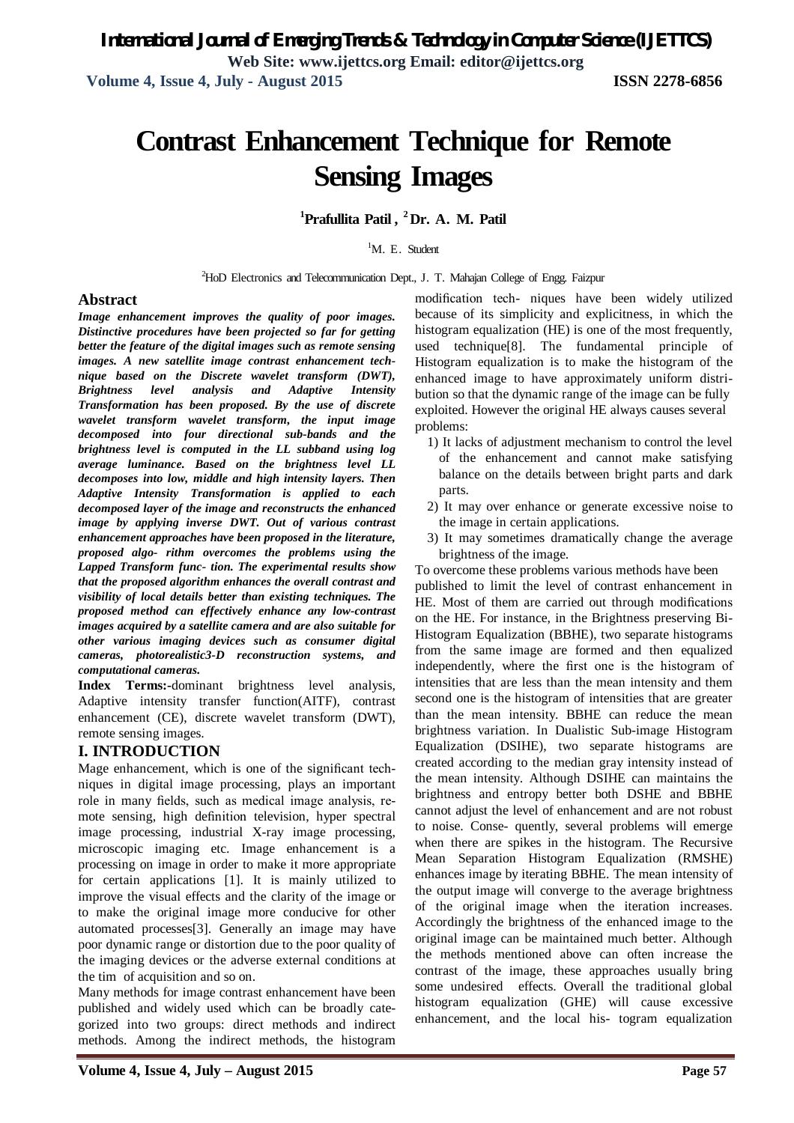**Volume 4, Issue 4, July - August 2015 ISSN 2278-6856**

# **Contrast Enhancement Technique for Remote Sensing Images**

**<sup>1</sup>Prafullita Patil , <sup>2</sup>Dr. A. M. Patil**

 ${}^{1}$ M. E. Student

<sup>2</sup>HoD Electronics and Telecommunication Dept., J. T. Mahajan College of Engg. Faizpur

#### **Abstract**

*Image enhancement improves the quality of poor images. Distinctive procedures have been projected so far for getting better the feature of the digital images such as remote sensing images. A new satellite image contrast enhancement technique based on the Discrete wavelet transform (DWT), Brightness level analysis and Adaptive Intensity Transformation has been proposed. By the use of discrete wavelet transform wavelet transform, the input image decomposed into four directional sub-bands and the brightness level is computed in the LL subband using log average luminance. Based on the brightness level LL decomposes into low, middle and high intensity layers. Then Adaptive Intensity Transformation is applied to each decomposed layer of the image and reconstructs the enhanced image by applying inverse DWT. Out of various contrast enhancement approaches have been proposed in the literature, proposed algo- rithm overcomes the problems using the Lapped Transform func- tion. The experimental results show that the proposed algorithm enhances the overall contrast and visibility of local details better than existing techniques. The proposed method can effectively enhance any low-contrast images acquired by a satellite camera and are also suitable for other various imaging devices such as consumer digital cameras, photorealistic3-D reconstruction systems, and computational cameras.*

**Index Terms:-**dominant brightness level analysis, Adaptive intensity transfer function(AITF), contrast enhancement (CE), discrete wavelet transform (DWT), remote sensing images.

#### **I. INTRODUCTION**

Mage enhancement, which is one of the significant techniques in digital image processing, plays an important role in many fields, such as medical image analysis, remote sensing, high definition television, hyper spectral image processing, industrial X-ray image processing, microscopic imaging etc. Image enhancement is a processing on image in order to make it more appropriate for certain applications [1]. It is mainly utilized to improve the visual effects and the clarity of the image or to make the original image more conducive for other automated processes[3]. Generally an image may have poor dynamic range or distortion due to the poor quality of the imaging devices or the adverse external conditions at the tim of acquisition and so on.

Many methods for image contrast enhancement have been published and widely used which can be broadly categorized into two groups: direct methods and indirect methods. Among the indirect methods, the histogram

modification tech- niques have been widely utilized because of its simplicity and explicitness, in which the histogram equalization (HE) is one of the most frequently, used technique[8]. The fundamental principle of Histogram equalization is to make the histogram of the enhanced image to have approximately uniform distribution so that the dynamic range of the image can be fully exploited. However the original HE always causes several problems:

- 1) It lacks of adjustment mechanism to control the level of the enhancement and cannot make satisfying balance on the details between bright parts and dark parts.
- 2) It may over enhance or generate excessive noise to the image in certain applications.
- 3) It may sometimes dramatically change the average brightness of the image.

To overcome these problems various methods have been

published to limit the level of contrast enhancement in HE. Most of them are carried out through modifications on the HE. For instance, in the Brightness preserving Bi-Histogram Equalization (BBHE), two separate histograms from the same image are formed and then equalized independently, where the first one is the histogram of intensities that are less than the mean intensity and them second one is the histogram of intensities that are greater than the mean intensity. BBHE can reduce the mean brightness variation. In Dualistic Sub-image Histogram Equalization (DSIHE), two separate histograms are created according to the median gray intensity instead of the mean intensity. Although DSIHE can maintains the brightness and entropy better both DSHE and BBHE cannot adjust the level of enhancement and are not robust to noise. Conse- quently, several problems will emerge when there are spikes in the histogram. The Recursive Mean Separation Histogram Equalization (RMSHE) enhances image by iterating BBHE. The mean intensity of the output image will converge to the average brightness of the original image when the iteration increases. Accordingly the brightness of the enhanced image to the original image can be maintained much better. Although the methods mentioned above can often increase the contrast of the image, these approaches usually bring some undesired effects. Overall the traditional global histogram equalization (GHE) will cause excessive enhancement, and the local his- togram equalization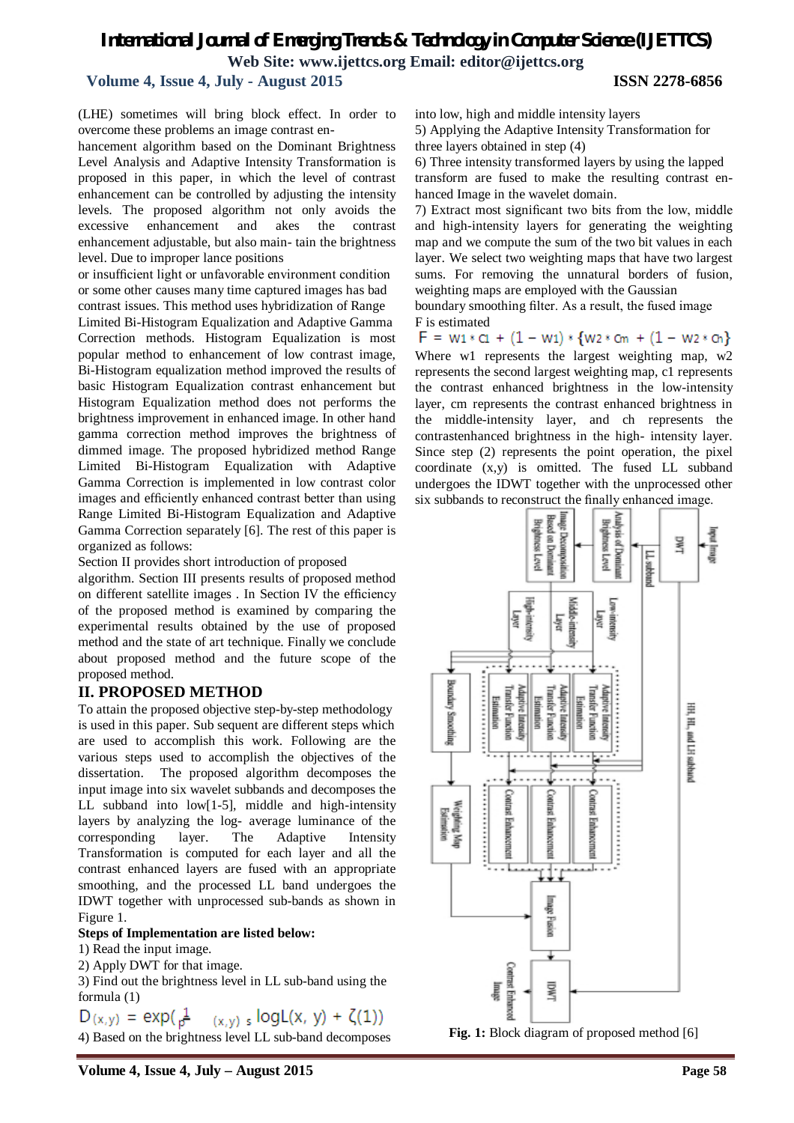#### **Volume 4, Issue 4, July - August 2015 ISSN 2278-6856**

(LHE) sometimes will bring block effect. In order to overcome these problems an image contrast en-

hancement algorithm based on the Dominant Brightness Level Analysis and Adaptive Intensity Transformation is proposed in this paper, in which the level of contrast enhancement can be controlled by adjusting the intensity levels. The proposed algorithm not only avoids the excessive enhancement and akes the contrast enhancement adjustable, but also main- tain the brightness level. Due to improper lance positions

or insufficient light or unfavorable environment condition or some other causes many time captured images has bad contrast issues. This method uses hybridization of Range

Limited Bi-Histogram Equalization and Adaptive Gamma Correction methods. Histogram Equalization is most popular method to enhancement of low contrast image, Bi-Histogram equalization method improved the results of basic Histogram Equalization contrast enhancement but Histogram Equalization method does not performs the brightness improvement in enhanced image. In other hand gamma correction method improves the brightness of dimmed image. The proposed hybridized method Range Limited Bi-Histogram Equalization with Adaptive Gamma Correction is implemented in low contrast color images and efficiently enhanced contrast better than using Range Limited Bi-Histogram Equalization and Adaptive Gamma Correction separately [6]. The rest of this paper is organized as follows:

Section II provides short introduction of proposed

algorithm. Section III presents results of proposed method on different satellite images . In Section IV the efficiency of the proposed method is examined by comparing the experimental results obtained by the use of proposed method and the state of art technique. Finally we conclude about proposed method and the future scope of the proposed method.

#### **II. PROPOSED METHOD**

To attain the proposed objective step-by-step methodology is used in this paper. Sub sequent are different steps which are used to accomplish this work. Following are the various steps used to accomplish the objectives of the dissertation. The proposed algorithm decomposes the input image into six wavelet subbands and decomposes the LL subband into low[1-5], middle and high-intensity layers by analyzing the log- average luminance of the corresponding layer. The Adaptive Intensity Transformation is computed for each layer and all the contrast enhanced layers are fused with an appropriate smoothing, and the processed LL band undergoes the IDWT together with unprocessed sub-bands as shown in Figure 1.

#### **Steps of Implementation are listed below:**

1) Read the input image.

2) Apply DWT for that image.

3) Find out the brightness level in LL sub-band using the formula (1)

$$
D(x,y) = \exp(\frac{1}{p^2} - (x,y) \cdot \frac{logL(x, y) + \zeta(1))}{}
$$

4) Based on the brightness level LL sub-band decomposes

into low, high and middle intensity layers

5) Applying the Adaptive Intensity Transformation for three layers obtained in step (4)

6) Three intensity transformed layers by using the lapped transform are fused to make the resulting contrast enhanced Image in the wavelet domain.

7) Extract most significant two bits from the low, middle and high-intensity layers for generating the weighting map and we compute the sum of the two bit values in each layer. We select two weighting maps that have two largest sums. For removing the unnatural borders of fusion, weighting maps are employed with the Gaussian

boundary smoothing filter. As a result, the fused image F is estimated

 $F = w_1 * c_1 + (1 - w_1) * \{w_2 * c_m + (1 - w_2 * c_n)\}$ Where w1 represents the largest weighting map, w2 represents the second largest weighting map, c1 represents the contrast enhanced brightness in the low-intensity layer, cm represents the contrast enhanced brightness in the middle-intensity layer, and ch represents the contrastenhanced brightness in the high- intensity layer. Since step (2) represents the point operation, the pixel coordinate (x,y) is omitted. The fused LL subband undergoes the IDWT together with the unprocessed other six subbands to reconstruct the finally enhanced image.

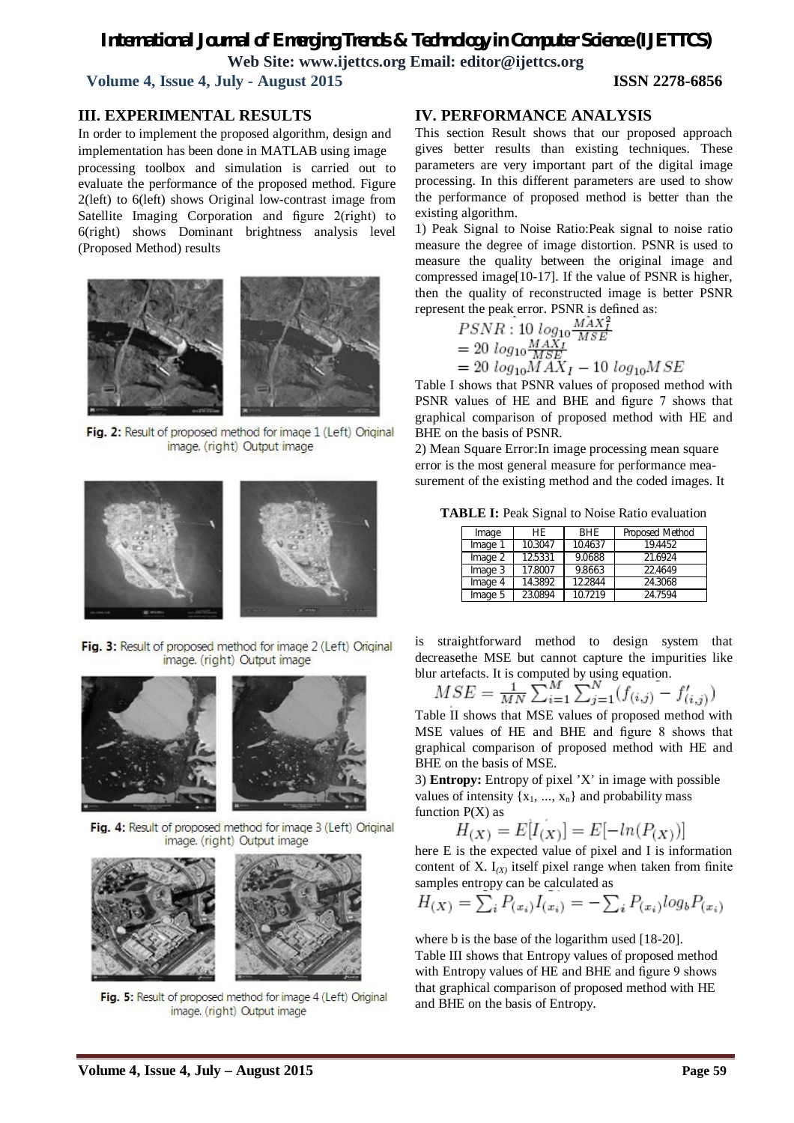**Volume 4, Issue 4, July - August 2015 ISSN 2278-6856**

#### **III. EXPERIMENTAL RESULTS**

In order to implement the proposed algorithm, design and implementation has been done in MATLAB using image processing toolbox and simulation is carried out to evaluate the performance of the proposed method. Figure 2(left) to 6(left) shows Original low-contrast image from Satellite Imaging Corporation and figure 2(right) to 6(right) shows Dominant brightness analysis level (Proposed Method) results



Fig. 2: Result of proposed method for image 1 (Left) Original image. (right) Output image



Fig. 3: Result of proposed method for image 2 (Left) Original image. (right) Output image



Fig. 4: Result of proposed method for image 3 (Left) Original image. (right) Output image



Fig. 5: Result of proposed method for image 4 (Left) Original image. (right) Output image

#### **IV. PERFORMANCE ANALYSIS**

This section Result shows that our proposed approach gives better results than existing techniques. These parameters are very important part of the digital image processing. In this different parameters are used to show the performance of proposed method is better than the existing algorithm.

1) Peak Signal to Noise Ratio:Peak signal to noise ratio measure the degree of image distortion. PSNR is used to measure the quality between the original image and compressed image[10-17]. If the value of PSNR is higher, then the quality of reconstructed image is better PSNR represent the peak error. PSNR is defined as:

$$
PSNR: 10 \log_{10} \frac{MAX_I^2}{MSE}
$$
  
= 20 \log\_{10} \frac{MAX\_I}{MSE}  
= 20 \log\_{10} MAX\_I - 10 \log\_{10} MSE

Table I shows that PSNR values of proposed method with PSNR values of HE and BHE and figure 7 shows that graphical comparison of proposed method with HE and BHE on the basis of PSNR.

2) Mean Square Error:In image processing mean square error is the most general measure for performance measurement of the existing method and the coded images. It

**TABLE I:** Peak Signal to Noise Ratio evaluation

| Image   | HF.     | <b>BHE</b> | Proposed Method |
|---------|---------|------------|-----------------|
| Image 1 | 10.3047 | 10.4637    | 194452          |
| Image 2 | 12.5331 | 9.0688     | 21.6924         |
| Image 3 | 17.8007 | 9.8663     | 22.4649         |
| Image 4 | 14.3892 | 12.2844    | 24.3068         |
| Image 5 | 23.0894 | 107219     | 24.7594         |

is straightforward method to design system that decreasethe MSE but cannot capture the impurities like blur artefacts. It is computed by using equation.

$$
MSE = \frac{1}{MN} \sum_{i=1}^{M} \sum_{j=1}^{N} (f_{(i,j)} - f'_{(i,j)})
$$

Table II shows that MSE values of proposed method with MSE values of HE and BHE and figure 8 shows that graphical comparison of proposed method with HE and BHE on the basis of MSE.

3) **Entropy:** Entropy of pixel 'X' in image with possible values of intensity  $\{x_1, ..., x_n\}$  and probability mass function  $P(X)$  as

$$
H_{(X)} = E[I_{(X)}] = E[-\ln(P_{(X)})]
$$

here E is the expected value of pixel and I is information content of X.  $I_{(X)}$  itself pixel range when taken from finite samples entropy can be calculated as

$$
H_{(X)} = \sum_{i} P_{(x_i)} I_{(x_i)} = -\sum_{i} P_{(x_i)} log_b P_{(x_i)}
$$

where b is the base of the logarithm used [18-20].

Table III shows that Entropy values of proposed method with Entropy values of HE and BHE and figure 9 shows that graphical comparison of proposed method with HE and BHE on the basis of Entropy.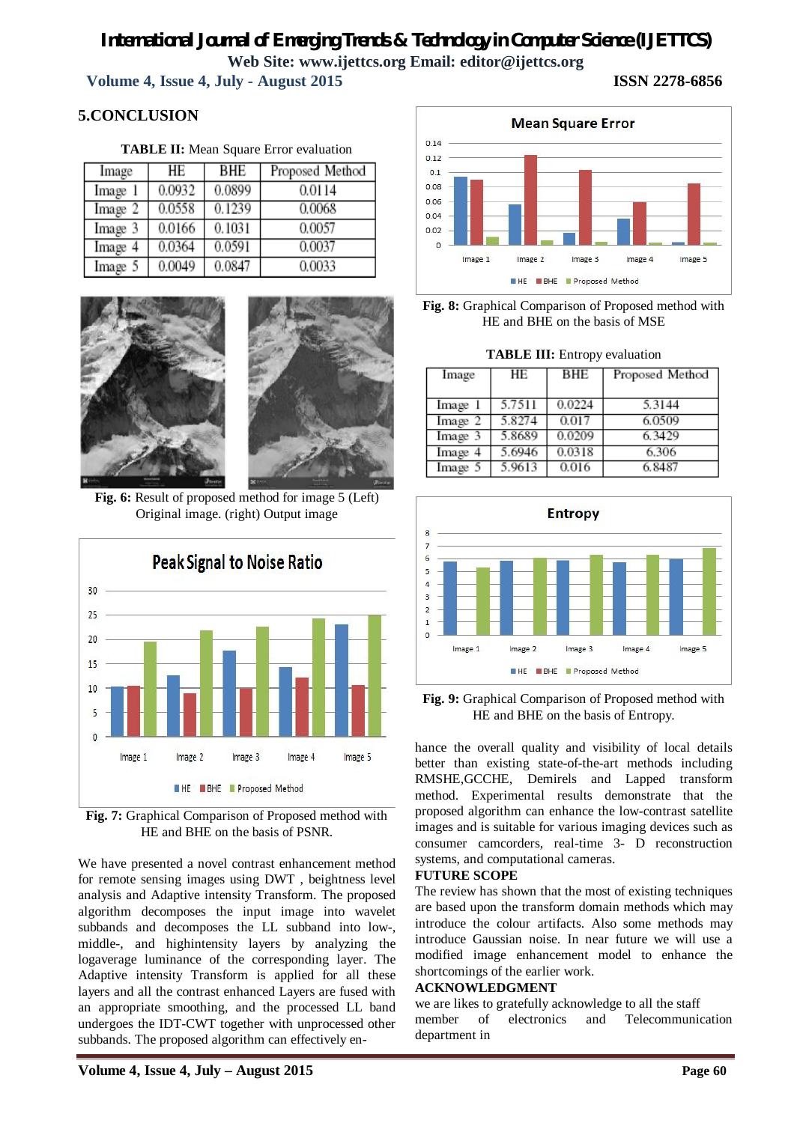**Volume 4, Issue 4, July - August 2015 ISSN 2278-6856**

## **5.CONCLUSION**

**TABLE II:** Mean Square Error evaluation

| Image   | HE     | <b>BHE</b> | Proposed Method |
|---------|--------|------------|-----------------|
| Image 1 | 0.0932 | 0.0899     | 0.0114          |
| Image 2 | 0.0558 | 0.1239     | 0.0068          |
| Image 3 | 0.0166 | 0.1031     | 0.0057          |
| Image 4 | 0.0364 | 0.0591     | 0.0037          |
| Image 5 | 0.0049 | 0.0847     | 0.0033          |



**Fig. 6:** Result of proposed method for image 5 (Left) Original image. (right) Output image





We have presented a novel contrast enhancement method for remote sensing images using DWT , beightness level analysis and Adaptive intensity Transform. The proposed algorithm decomposes the input image into wavelet subbands and decomposes the LL subband into low-, middle-, and highintensity layers by analyzing the logaverage luminance of the corresponding layer. The Adaptive intensity Transform is applied for all these layers and all the contrast enhanced Layers are fused with an appropriate smoothing, and the processed LL band undergoes the IDT-CWT together with unprocessed other subbands. The proposed algorithm can effectively en-





**TABLE III:** Entropy evaluation

| Image   | HЕ     | BHE    | Proposed Method |
|---------|--------|--------|-----------------|
| Image 1 | 5.7511 | 0.0224 | 5.3144          |
| Image 2 | 5.8274 | 0.017  | 6.0509          |
| Image 3 | 5.8689 | 0.0209 | 6.3429          |
| Image 4 | 5.6946 | 0.0318 | 6.306           |
| Image 5 | 5.9613 | 0.016  | 6.8487          |



**Fig. 9:** Graphical Comparison of Proposed method with HE and BHE on the basis of Entropy.

hance the overall quality and visibility of local details better than existing state-of-the-art methods including RMSHE,GCCHE, Demirels and Lapped transform method. Experimental results demonstrate that the proposed algorithm can enhance the low-contrast satellite images and is suitable for various imaging devices such as consumer camcorders, real-time 3- D reconstruction systems, and computational cameras.

#### **FUTURE SCOPE**

The review has shown that the most of existing techniques are based upon the transform domain methods which may introduce the colour artifacts. Also some methods may introduce Gaussian noise. In near future we will use a modified image enhancement model to enhance the shortcomings of the earlier work.

#### **ACKNOWLEDGMENT**

we are likes to gratefully acknowledge to all the staff member of electronics and Telecommunication department in